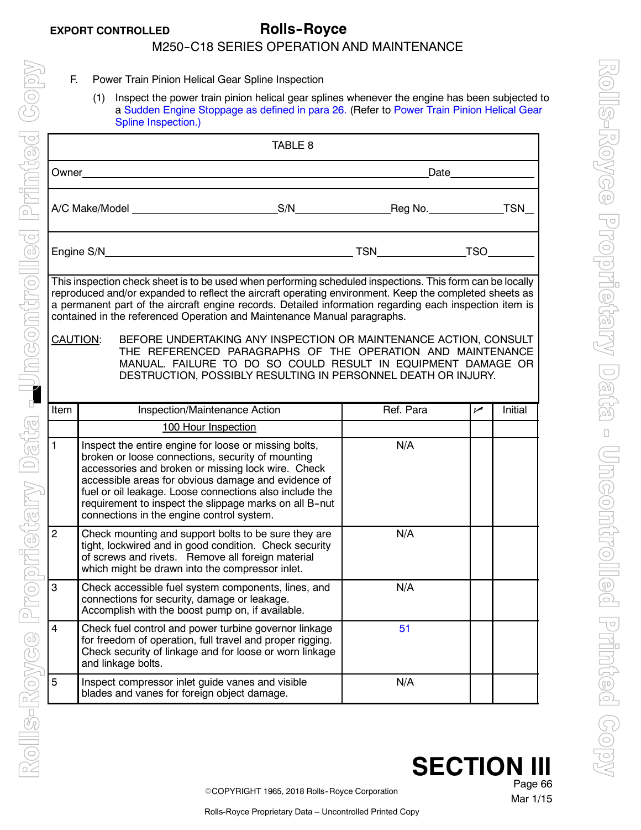#### <span id="page-0-0"></span>**EXPORT CONTROLLED**

#### **Rolls--Royce**

#### M250-C18 SERIES OPERATION AND MAINTENANCE

- F. Power Train Pinion Helical Gear Spline Inspection
	- (1) Inspect the power train pinion helical gear splines whenever the engine has been subjected to a Sudden Engine Stoppage as defined in para 26. (Refer to Power Train Pinion Helical Gear Spline Inspection.)

| TABLE 8                 |                                                                                                                                                                                                                                                                                                                                                                                                                                                                                                                                                                                                                                                                                           |           |     |         |  |
|-------------------------|-------------------------------------------------------------------------------------------------------------------------------------------------------------------------------------------------------------------------------------------------------------------------------------------------------------------------------------------------------------------------------------------------------------------------------------------------------------------------------------------------------------------------------------------------------------------------------------------------------------------------------------------------------------------------------------------|-----------|-----|---------|--|
|                         | _Date_______________                                                                                                                                                                                                                                                                                                                                                                                                                                                                                                                                                                                                                                                                      |           |     |         |  |
|                         |                                                                                                                                                                                                                                                                                                                                                                                                                                                                                                                                                                                                                                                                                           |           |     |         |  |
|                         |                                                                                                                                                                                                                                                                                                                                                                                                                                                                                                                                                                                                                                                                                           |           |     |         |  |
|                         | This inspection check sheet is to be used when performing scheduled inspections. This form can be locally<br>reproduced and/or expanded to reflect the aircraft operating environment. Keep the completed sheets as<br>a permanent part of the aircraft engine records. Detailed information regarding each inspection item is<br>contained in the referenced Operation and Maintenance Manual paragraphs.<br>CAUTION:<br>BEFORE UNDERTAKING ANY INSPECTION OR MAINTENANCE ACTION, CONSULT<br>THE REFERENCED PARAGRAPHS OF THE OPERATION AND MAINTENANCE<br>MANUAL. FAILURE TO DO SO COULD RESULT IN EQUIPMENT DAMAGE OR<br>DESTRUCTION, POSSIBLY RESULTING IN PERSONNEL DEATH OR INJURY. |           |     |         |  |
| Item                    | Inspection/Maintenance Action                                                                                                                                                                                                                                                                                                                                                                                                                                                                                                                                                                                                                                                             | Ref. Para | مما | Initial |  |
|                         | 100 Hour Inspection                                                                                                                                                                                                                                                                                                                                                                                                                                                                                                                                                                                                                                                                       |           |     |         |  |
| $\mathbf{1}$            | Inspect the entire engine for loose or missing bolts,<br>broken or loose connections, security of mounting<br>accessories and broken or missing lock wire. Check<br>accessible areas for obvious damage and evidence of<br>fuel or oil leakage. Loose connections also include the<br>requirement to inspect the slippage marks on all B-nut<br>connections in the engine control system.                                                                                                                                                                                                                                                                                                 | N/A       |     |         |  |
| $\overline{2}$          | Check mounting and support bolts to be sure they are<br>tight, lockwired and in good condition. Check security<br>of screws and rivets. Remove all foreign material<br>which might be drawn into the compressor inlet.                                                                                                                                                                                                                                                                                                                                                                                                                                                                    | N/A       |     |         |  |
| 3                       | Check accessible fuel system components, lines, and<br>connections for security, damage or leakage.<br>Accomplish with the boost pump on, if available.                                                                                                                                                                                                                                                                                                                                                                                                                                                                                                                                   | N/A       |     |         |  |
| $\overline{\mathbf{4}}$ | Check fuel control and power turbine governor linkage<br>for freedom of operation, full travel and proper rigging.<br>Check security of linkage and for loose or worn linkage<br>and linkage bolts.                                                                                                                                                                                                                                                                                                                                                                                                                                                                                       | 51        |     |         |  |
| 5                       | Inspect compressor inlet guide vanes and visible<br>blades and vanes for foreign object damage.                                                                                                                                                                                                                                                                                                                                                                                                                                                                                                                                                                                           | N/A       |     |         |  |

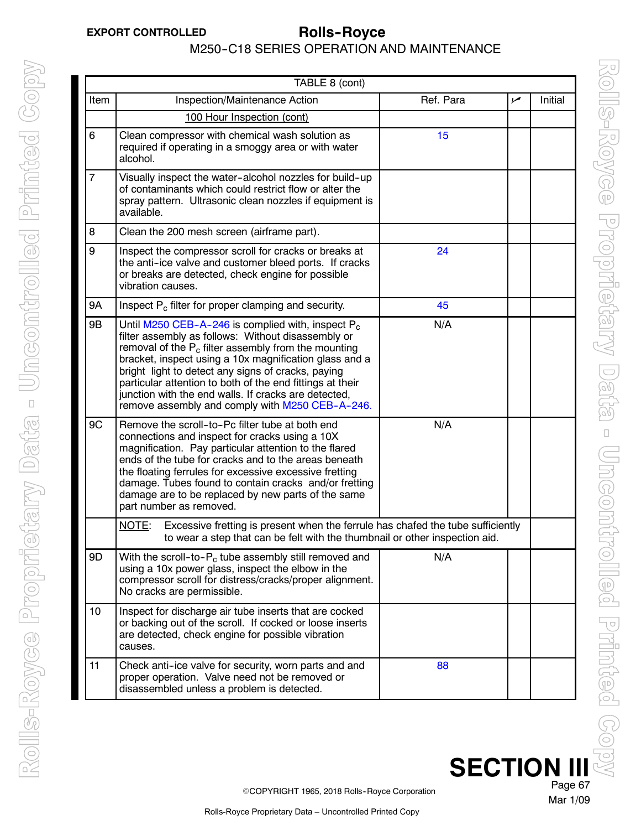### M250-C18 SERIES OPERATION AND MAINTENANCE

|                | TABLE 8 (cont)                                                                                                                                                                                                                                                                                                                                                                                                                                               |     |  |  |  |  |
|----------------|--------------------------------------------------------------------------------------------------------------------------------------------------------------------------------------------------------------------------------------------------------------------------------------------------------------------------------------------------------------------------------------------------------------------------------------------------------------|-----|--|--|--|--|
| Item           | Ref. Para<br>Inspection/Maintenance Action                                                                                                                                                                                                                                                                                                                                                                                                                   |     |  |  |  |  |
|                | 100 Hour Inspection (cont)                                                                                                                                                                                                                                                                                                                                                                                                                                   |     |  |  |  |  |
| 6              | Clean compressor with chemical wash solution as<br>required if operating in a smoggy area or with water<br>alcohol.                                                                                                                                                                                                                                                                                                                                          | 15  |  |  |  |  |
| $\overline{7}$ | Visually inspect the water-alcohol nozzles for build-up<br>of contaminants which could restrict flow or alter the<br>spray pattern. Ultrasonic clean nozzles if equipment is<br>available.                                                                                                                                                                                                                                                                   |     |  |  |  |  |
| 8              | Clean the 200 mesh screen (airframe part).                                                                                                                                                                                                                                                                                                                                                                                                                   |     |  |  |  |  |
| 9              | Inspect the compressor scroll for cracks or breaks at<br>the anti-ice valve and customer bleed ports. If cracks<br>or breaks are detected, check engine for possible<br>vibration causes.                                                                                                                                                                                                                                                                    | 24  |  |  |  |  |
| 9Α             | Inspect $P_c$ filter for proper clamping and security.                                                                                                                                                                                                                                                                                                                                                                                                       | 45  |  |  |  |  |
| 9B             | Until M250 CEB-A-246 is complied with, inspect $P_c$<br>filter assembly as follows: Without disassembly or<br>removal of the $P_c$ filter assembly from the mounting<br>bracket, inspect using a 10x magnification glass and a<br>bright light to detect any signs of cracks, paying<br>particular attention to both of the end fittings at their<br>junction with the end walls. If cracks are detected,<br>remove assembly and comply with M250 CEB-A-246. | N/A |  |  |  |  |
| 9C             | Remove the scroll-to-Pc filter tube at both end<br>connections and inspect for cracks using a 10X<br>magnification. Pay particular attention to the flared<br>ends of the tube for cracks and to the areas beneath<br>the floating ferrules for excessive excessive fretting<br>damage. Tubes found to contain cracks and/or fretting<br>damage are to be replaced by new parts of the same<br>part number as removed.                                       | N/A |  |  |  |  |
|                | NOTE:<br>Excessive fretting is present when the ferrule has chafed the tube sufficiently<br>to wear a step that can be felt with the thumbnail or other inspection aid.                                                                                                                                                                                                                                                                                      |     |  |  |  |  |
| 9D             | With the scroll-to-P <sub>c</sub> tube assembly still removed and<br>using a 10x power glass, inspect the elbow in the<br>compressor scroll for distress/cracks/proper alignment.<br>No cracks are permissible.                                                                                                                                                                                                                                              | N/A |  |  |  |  |
| 10             | Inspect for discharge air tube inserts that are cocked<br>or backing out of the scroll. If cocked or loose inserts<br>are detected, check engine for possible vibration<br>causes.                                                                                                                                                                                                                                                                           |     |  |  |  |  |
| 11             | Check anti-ice valve for security, worn parts and and<br>proper operation. Valve need not be removed or<br>disassembled unless a problem is detected.                                                                                                                                                                                                                                                                                                        | 88  |  |  |  |  |

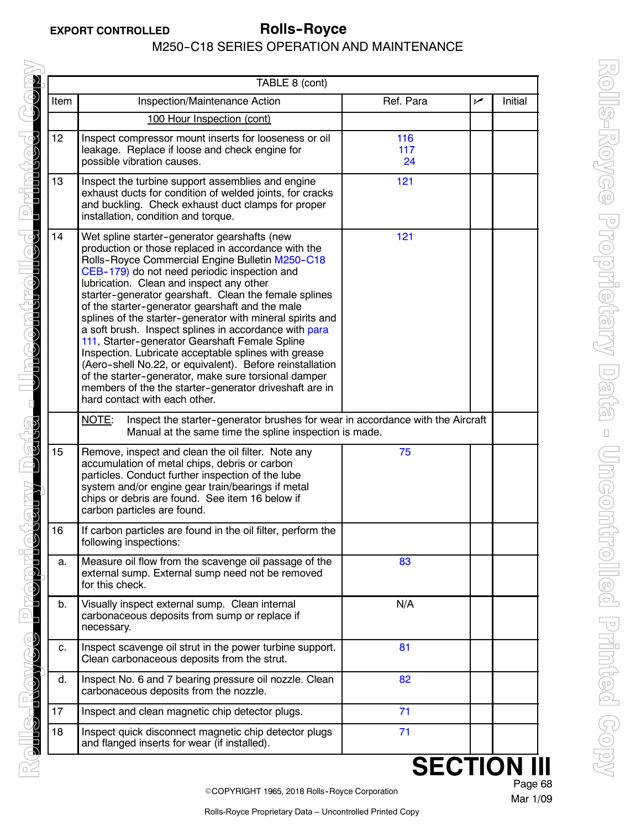### M250-C18 SERIES OPERATION AND MAINTENANCE

| TABLE 8 (cont)  |                                                                                                                                                                                                                                                                                                                                                                                                                                                                                                                                                                                                                                                                                                                                                                                                               |                  |                |         |  |
|-----------------|---------------------------------------------------------------------------------------------------------------------------------------------------------------------------------------------------------------------------------------------------------------------------------------------------------------------------------------------------------------------------------------------------------------------------------------------------------------------------------------------------------------------------------------------------------------------------------------------------------------------------------------------------------------------------------------------------------------------------------------------------------------------------------------------------------------|------------------|----------------|---------|--|
| Item            | <b>Inspection/Maintenance Action</b>                                                                                                                                                                                                                                                                                                                                                                                                                                                                                                                                                                                                                                                                                                                                                                          | Ref. Para        | $\overline{v}$ | Initial |  |
|                 | 100 Hour Inspection (cont)                                                                                                                                                                                                                                                                                                                                                                                                                                                                                                                                                                                                                                                                                                                                                                                    |                  |                |         |  |
| 12 <sub>2</sub> | Inspect compressor mount inserts for looseness or oil<br>leakage. Replace if loose and check engine for<br>possible vibration causes.                                                                                                                                                                                                                                                                                                                                                                                                                                                                                                                                                                                                                                                                         | 116<br>117<br>24 |                |         |  |
| 13              | Inspect the turbine support assemblies and engine<br>exhaust ducts for condition of welded joints, for cracks<br>and buckling. Check exhaust duct clamps for proper<br>installation, condition and torque.                                                                                                                                                                                                                                                                                                                                                                                                                                                                                                                                                                                                    | 121              |                |         |  |
| 14              | Wet spline starter-generator gearshafts (new<br>production or those replaced in accordance with the<br>Rolls-Royce Commercial Engine Bulletin M250-C18<br>CEB-179) do not need periodic inspection and<br>lubrication. Clean and inspect any other<br>starter-generator gearshaft. Clean the female splines<br>of the starter-generator gearshaft and the male<br>splines of the starter-generator with mineral spirits and<br>a soft brush. Inspect splines in accordance with para<br>111, Starter-generator Gearshaft Female Spline<br>Inspection. Lubricate acceptable splines with grease<br>(Aero-shell No.22, or equivalent). Before reinstallation<br>of the starter-generator, make sure torsional damper<br>members of the the starter-generator driveshaft are in<br>hard contact with each other. | 121              |                |         |  |
|                 | NOTE:<br>Inspect the starter-generator brushes for wear in accordance with the Aircraft<br>Manual at the same time the spline inspection is made.                                                                                                                                                                                                                                                                                                                                                                                                                                                                                                                                                                                                                                                             |                  |                |         |  |
| 15              | Remove, inspect and clean the oil filter. Note any<br>accumulation of metal chips, debris or carbon<br>particles. Conduct further inspection of the lube<br>system and/or engine gear train/bearings if metal<br>chips or debris are found. See item 16 below if<br>carbon particles are found.                                                                                                                                                                                                                                                                                                                                                                                                                                                                                                               | 75               |                |         |  |
| 16              | If carbon particles are found in the oil filter, perform the<br>following inspections:                                                                                                                                                                                                                                                                                                                                                                                                                                                                                                                                                                                                                                                                                                                        |                  |                |         |  |
| a.              | Measure oil flow from the scavenge oil passage of the<br>external sump. External sump need not be removed<br>for this check.                                                                                                                                                                                                                                                                                                                                                                                                                                                                                                                                                                                                                                                                                  | 83               |                |         |  |
| b.              | Visually inspect external sump. Clean internal<br>carbonaceous deposits from sump or replace if<br>necessary.                                                                                                                                                                                                                                                                                                                                                                                                                                                                                                                                                                                                                                                                                                 | N/A              |                |         |  |
| c.              | Inspect scavenge oil strut in the power turbine support.<br>Clean carbonaceous deposits from the strut.                                                                                                                                                                                                                                                                                                                                                                                                                                                                                                                                                                                                                                                                                                       | 81               |                |         |  |
| d.              | Inspect No. 6 and 7 bearing pressure oil nozzle. Clean<br>carbonaceous deposits from the nozzle.                                                                                                                                                                                                                                                                                                                                                                                                                                                                                                                                                                                                                                                                                                              | 82               |                |         |  |
| 17              | Inspect and clean magnetic chip detector plugs.                                                                                                                                                                                                                                                                                                                                                                                                                                                                                                                                                                                                                                                                                                                                                               | 71               |                |         |  |
| 18              | Inspect quick disconnect magnetic chip detector plugs<br>and flanged inserts for wear (if installed).                                                                                                                                                                                                                                                                                                                                                                                                                                                                                                                                                                                                                                                                                                         | 71               |                |         |  |
|                 |                                                                                                                                                                                                                                                                                                                                                                                                                                                                                                                                                                                                                                                                                                                                                                                                               |                  |                |         |  |

**SECTION III**<br>Page 68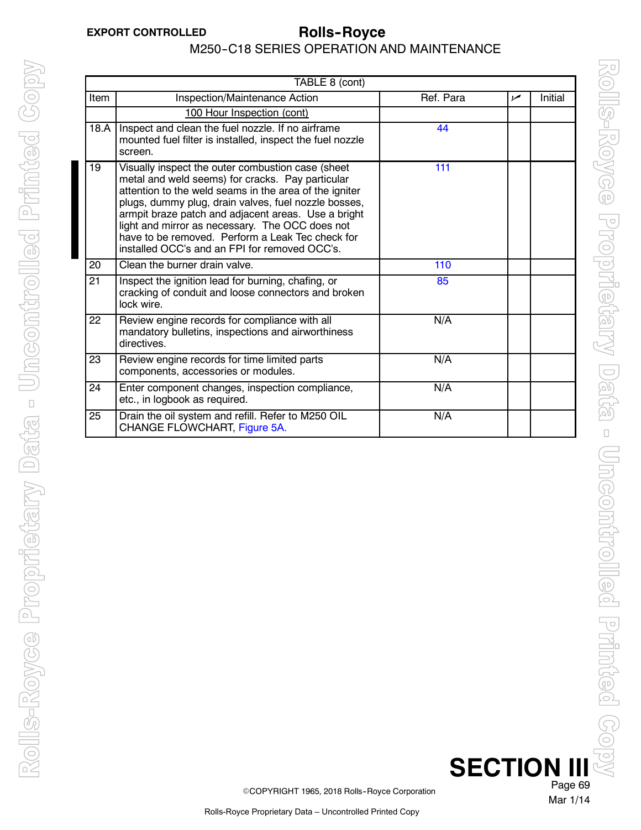#### M250-C18 SERIES OPERATION AND MAINTENANCE

| TABLE 8 (cont)  |                                                                                                                                                                                                                                                                                                                                                                                                                                        |           |      |         |
|-----------------|----------------------------------------------------------------------------------------------------------------------------------------------------------------------------------------------------------------------------------------------------------------------------------------------------------------------------------------------------------------------------------------------------------------------------------------|-----------|------|---------|
| Item            | Inspection/Maintenance Action                                                                                                                                                                                                                                                                                                                                                                                                          | Ref. Para | ممرا | Initial |
|                 | 100 Hour Inspection (cont)                                                                                                                                                                                                                                                                                                                                                                                                             |           |      |         |
| 18.A            | Inspect and clean the fuel nozzle. If no airframe<br>mounted fuel filter is installed, inspect the fuel nozzle<br>screen.                                                                                                                                                                                                                                                                                                              | 44        |      |         |
| 19              | Visually inspect the outer combustion case (sheet<br>metal and weld seems) for cracks. Pay particular<br>attention to the weld seams in the area of the igniter<br>plugs, dummy plug, drain valves, fuel nozzle bosses,<br>armpit braze patch and adjacent areas. Use a bright<br>light and mirror as necessary. The OCC does not<br>have to be removed. Perform a Leak Tec check for<br>installed OCC's and an FPI for removed OCC's. | 111       |      |         |
| 20              | Clean the burner drain valve.                                                                                                                                                                                                                                                                                                                                                                                                          | 110       |      |         |
| $\overline{21}$ | Inspect the ignition lead for burning, chafing, or<br>cracking of conduit and loose connectors and broken<br>lock wire.                                                                                                                                                                                                                                                                                                                | 85        |      |         |
| 22              | Review engine records for compliance with all<br>mandatory bulletins, inspections and airworthiness<br>directives.                                                                                                                                                                                                                                                                                                                     | N/A       |      |         |
| 23              | Review engine records for time limited parts<br>components, accessories or modules.                                                                                                                                                                                                                                                                                                                                                    | N/A       |      |         |
| 24              | Enter component changes, inspection compliance,<br>etc., in logbook as required.                                                                                                                                                                                                                                                                                                                                                       | N/A       |      |         |
| 25              | Drain the oil system and refill. Refer to M250 OIL<br>CHANGE FLOWCHART, Figure 5A.                                                                                                                                                                                                                                                                                                                                                     | N/A       |      |         |

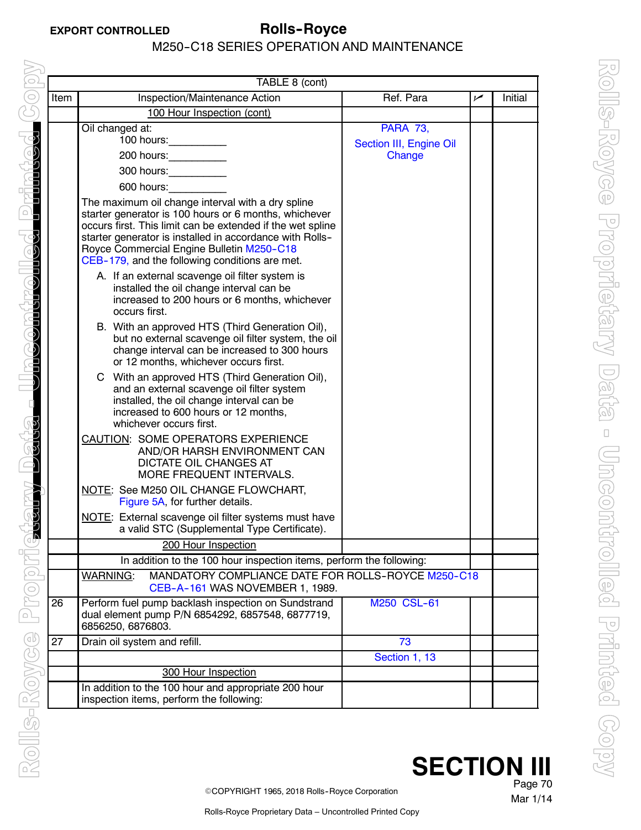## M250-C18 SERIES OPERATION AND MAINTENANCE

| TABLE 8 (cont) |                                                                                                                                                                                                                                                                                                                                     |                                            |    |         |  |  |
|----------------|-------------------------------------------------------------------------------------------------------------------------------------------------------------------------------------------------------------------------------------------------------------------------------------------------------------------------------------|--------------------------------------------|----|---------|--|--|
| Item           | Inspection/Maintenance Action                                                                                                                                                                                                                                                                                                       | Ref. Para                                  | مم | Initial |  |  |
|                | 100 Hour Inspection (cont)                                                                                                                                                                                                                                                                                                          |                                            |    |         |  |  |
|                | Oil changed at:<br>100 hours: ___________                                                                                                                                                                                                                                                                                           | <b>PARA 73,</b><br>Section III, Engine Oil |    |         |  |  |
|                | 200 hours: ___________                                                                                                                                                                                                                                                                                                              | Change                                     |    |         |  |  |
|                | 300 hours: ___________                                                                                                                                                                                                                                                                                                              |                                            |    |         |  |  |
|                | 600 hours: the control                                                                                                                                                                                                                                                                                                              |                                            |    |         |  |  |
|                | The maximum oil change interval with a dry spline<br>starter generator is 100 hours or 6 months, whichever<br>occurs first. This limit can be extended if the wet spline<br>starter generator is installed in accordance with Rolls-<br>Royce Commercial Engine Bulletin M250-C18<br>CEB-179, and the following conditions are met. |                                            |    |         |  |  |
|                | A. If an external scavenge oil filter system is<br>installed the oil change interval can be<br>increased to 200 hours or 6 months, whichever<br>occurs first.                                                                                                                                                                       |                                            |    |         |  |  |
|                | B. With an approved HTS (Third Generation Oil),<br>but no external scavenge oil filter system, the oil<br>change interval can be increased to 300 hours<br>or 12 months, whichever occurs first.                                                                                                                                    |                                            |    |         |  |  |
|                | C With an approved HTS (Third Generation Oil),<br>and an external scavenge oil filter system<br>installed, the oil change interval can be<br>increased to 600 hours or 12 months,<br>whichever occurs first.                                                                                                                        |                                            |    |         |  |  |
|                | CAUTION: SOME OPERATORS EXPERIENCE<br>AND/OR HARSH ENVIRONMENT CAN<br>DICTATE OIL CHANGES AT<br>MORE FREQUENT INTERVALS.                                                                                                                                                                                                            |                                            |    |         |  |  |
|                | NOTE: See M250 OIL CHANGE FLOWCHART,<br>Figure 5A, for further details.                                                                                                                                                                                                                                                             |                                            |    |         |  |  |
|                | NOTE: External scavenge oil filter systems must have<br>a valid STC (Supplemental Type Certificate).                                                                                                                                                                                                                                |                                            |    |         |  |  |
|                | 200 Hour Inspection                                                                                                                                                                                                                                                                                                                 |                                            |    |         |  |  |
|                | In addition to the 100 hour inspection items, perform the following:                                                                                                                                                                                                                                                                |                                            |    |         |  |  |
|                | MANDATORY COMPLIANCE DATE FOR ROLLS-ROYCE M250-C18<br><b>WARNING:</b><br>CEB-A-161 WAS NOVEMBER 1, 1989.                                                                                                                                                                                                                            |                                            |    |         |  |  |
| 26             | Perform fuel pump backlash inspection on Sundstrand<br>dual element pump P/N 6854292, 6857548, 6877719,<br>6856250, 6876803.                                                                                                                                                                                                        | M250 CSL-61                                |    |         |  |  |
| 27             | Drain oil system and refill.                                                                                                                                                                                                                                                                                                        | 73                                         |    |         |  |  |
|                |                                                                                                                                                                                                                                                                                                                                     | Section 1, 13                              |    |         |  |  |
|                | 300 Hour Inspection                                                                                                                                                                                                                                                                                                                 |                                            |    |         |  |  |
|                | In addition to the 100 hour and appropriate 200 hour<br>inspection items, perform the following:                                                                                                                                                                                                                                    |                                            |    |         |  |  |

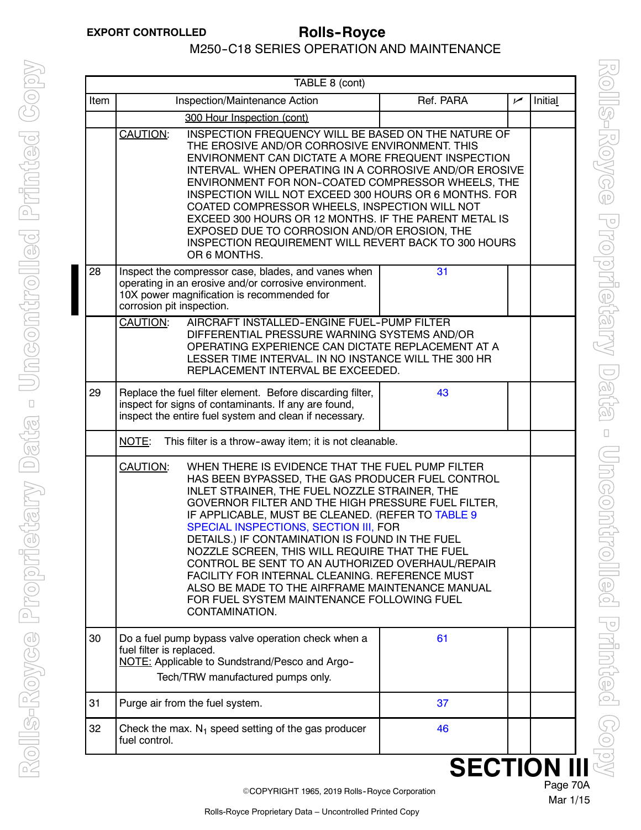### M250-C18 SERIES OPERATION AND MAINTENANCE

|      |                                                                                                                                                                                                                                                                                                                                                                                                                                                                                                                                                                                                                                                            | TABLE 8 (cont)                                                                                                                                                                                                                                                                                                                                                                                                                                                                                                                                                                                                                                                                                                                                                    |           |     |         |
|------|------------------------------------------------------------------------------------------------------------------------------------------------------------------------------------------------------------------------------------------------------------------------------------------------------------------------------------------------------------------------------------------------------------------------------------------------------------------------------------------------------------------------------------------------------------------------------------------------------------------------------------------------------------|-------------------------------------------------------------------------------------------------------------------------------------------------------------------------------------------------------------------------------------------------------------------------------------------------------------------------------------------------------------------------------------------------------------------------------------------------------------------------------------------------------------------------------------------------------------------------------------------------------------------------------------------------------------------------------------------------------------------------------------------------------------------|-----------|-----|---------|
| Item |                                                                                                                                                                                                                                                                                                                                                                                                                                                                                                                                                                                                                                                            | Inspection/Maintenance Action                                                                                                                                                                                                                                                                                                                                                                                                                                                                                                                                                                                                                                                                                                                                     | Ref. PARA | مما | Initial |
| 28   | CAUTION:<br>corrosion pit inspection.                                                                                                                                                                                                                                                                                                                                                                                                                                                                                                                                                                                                                      | 300 Hour Inspection (cont)<br>INSPECTION FREQUENCY WILL BE BASED ON THE NATURE OF<br>THE EROSIVE AND/OR CORROSIVE ENVIRONMENT. THIS<br>ENVIRONMENT CAN DICTATE A MORE FREQUENT INSPECTION<br>INTERVAL. WHEN OPERATING IN A CORROSIVE AND/OR EROSIVE<br>ENVIRONMENT FOR NON-COATED COMPRESSOR WHEELS, THE<br>INSPECTION WILL NOT EXCEED 300 HOURS OR 6 MONTHS. FOR<br>COATED COMPRESSOR WHEELS, INSPECTION WILL NOT<br>EXCEED 300 HOURS OR 12 MONTHS. IF THE PARENT METAL IS<br>EXPOSED DUE TO CORROSION AND/OR EROSION, THE<br>INSPECTION REQUIREMENT WILL REVERT BACK TO 300 HOURS<br>OR 6 MONTHS.<br>Inspect the compressor case, blades, and vanes when<br>operating in an erosive and/or corrosive environment.<br>10X power magnification is recommended for | 31        |     |         |
|      | <b>CAUTION:</b>                                                                                                                                                                                                                                                                                                                                                                                                                                                                                                                                                                                                                                            | AIRCRAFT INSTALLED-ENGINE FUEL-PUMP FILTER<br>DIFFERENTIAL PRESSURE WARNING SYSTEMS AND/OR<br>OPERATING EXPERIENCE CAN DICTATE REPLACEMENT AT A<br>LESSER TIME INTERVAL. IN NO INSTANCE WILL THE 300 HR<br>REPLACEMENT INTERVAL BE EXCEEDED.                                                                                                                                                                                                                                                                                                                                                                                                                                                                                                                      |           |     |         |
| 29   | Replace the fuel filter element. Before discarding filter,<br>43<br>inspect for signs of contaminants. If any are found,<br>inspect the entire fuel system and clean if necessary.<br>NOTE:<br>This filter is a throw-away item; it is not cleanable.                                                                                                                                                                                                                                                                                                                                                                                                      |                                                                                                                                                                                                                                                                                                                                                                                                                                                                                                                                                                                                                                                                                                                                                                   |           |     |         |
|      | <b>CAUTION:</b><br>WHEN THERE IS EVIDENCE THAT THE FUEL PUMP FILTER<br>HAS BEEN BYPASSED, THE GAS PRODUCER FUEL CONTROL<br>INLET STRAINER, THE FUEL NOZZLE STRAINER, THE<br>GOVERNOR FILTER AND THE HIGH PRESSURE FUEL FILTER,<br>IF APPLICABLE, MUST BE CLEANED. (REFER TO TABLE 9<br>SPECIAL INSPECTIONS, SECTION III, FOR<br>DETAILS.) IF CONTAMINATION IS FOUND IN THE FUEL<br>NOZZLE SCREEN, THIS WILL REQUIRE THAT THE FUEL<br>CONTROL BE SENT TO AN AUTHORIZED OVERHAUL/REPAIR<br>FACILITY FOR INTERNAL CLEANING. REFERENCE MUST<br>ALSO BE MADE TO THE AIRFRAME MAINTENANCE MANUAL<br>FOR FUEL SYSTEM MAINTENANCE FOLLOWING FUEL<br>CONTAMINATION. |                                                                                                                                                                                                                                                                                                                                                                                                                                                                                                                                                                                                                                                                                                                                                                   |           |     |         |
| 30   | Do a fuel pump bypass valve operation check when a<br>61<br>fuel filter is replaced.<br>NOTE: Applicable to Sundstrand/Pesco and Argo-<br>Tech/TRW manufactured pumps only.                                                                                                                                                                                                                                                                                                                                                                                                                                                                                |                                                                                                                                                                                                                                                                                                                                                                                                                                                                                                                                                                                                                                                                                                                                                                   |           |     |         |
| 31   |                                                                                                                                                                                                                                                                                                                                                                                                                                                                                                                                                                                                                                                            | Purge air from the fuel system.                                                                                                                                                                                                                                                                                                                                                                                                                                                                                                                                                                                                                                                                                                                                   | 37        |     |         |
| 32   | fuel control.                                                                                                                                                                                                                                                                                                                                                                                                                                                                                                                                                                                                                                              | Check the max. $N_1$ speed setting of the gas producer                                                                                                                                                                                                                                                                                                                                                                                                                                                                                                                                                                                                                                                                                                            | 46        |     |         |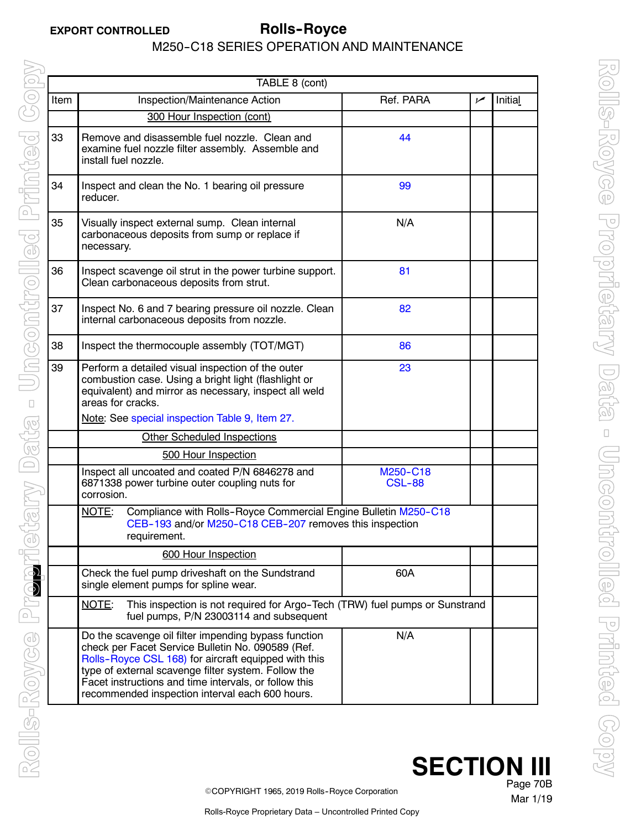# M250-C18 SERIES OPERATION AND MAINTENANCE

| TABLE 8 (cont) |                                                                                                                                                                                                                                                                                                                                      |                           |  |  |  |
|----------------|--------------------------------------------------------------------------------------------------------------------------------------------------------------------------------------------------------------------------------------------------------------------------------------------------------------------------------------|---------------------------|--|--|--|
| Item           | Inspection/Maintenance Action<br>Ref. PARA<br>مما                                                                                                                                                                                                                                                                                    |                           |  |  |  |
|                | 300 Hour Inspection (cont)                                                                                                                                                                                                                                                                                                           |                           |  |  |  |
| 33             | Remove and disassemble fuel nozzle. Clean and<br>examine fuel nozzle filter assembly. Assemble and<br>install fuel nozzle.                                                                                                                                                                                                           | 44                        |  |  |  |
| 34             | Inspect and clean the No. 1 bearing oil pressure<br>reducer.                                                                                                                                                                                                                                                                         | 99                        |  |  |  |
| 35             | N/A<br>Visually inspect external sump. Clean internal<br>carbonaceous deposits from sump or replace if<br>necessary.                                                                                                                                                                                                                 |                           |  |  |  |
| 36             | Inspect scavenge oil strut in the power turbine support.<br>Clean carbonaceous deposits from strut.                                                                                                                                                                                                                                  | 81                        |  |  |  |
| 37             | Inspect No. 6 and 7 bearing pressure oil nozzle. Clean<br>82<br>internal carbonaceous deposits from nozzle.                                                                                                                                                                                                                          |                           |  |  |  |
| 38             | Inspect the thermocouple assembly (TOT/MGT)<br>86                                                                                                                                                                                                                                                                                    |                           |  |  |  |
| 39             | Perform a detailed visual inspection of the outer<br>combustion case. Using a bright light (flashlight or<br>equivalent) and mirror as necessary, inspect all weld<br>areas for cracks.<br>Note: See special inspection Table 9, Item 27.                                                                                            | 23                        |  |  |  |
|                | <b>Other Scheduled Inspections</b>                                                                                                                                                                                                                                                                                                   |                           |  |  |  |
|                | 500 Hour Inspection                                                                                                                                                                                                                                                                                                                  |                           |  |  |  |
|                | Inspect all uncoated and coated P/N 6846278 and<br>6871338 power turbine outer coupling nuts for<br>corrosion.                                                                                                                                                                                                                       | M250-C18<br><b>CSL-88</b> |  |  |  |
|                | Compliance with Rolls-Royce Commercial Engine Bulletin M250-C18<br>NOTE:<br>CEB-193 and/or M250-C18 CEB-207 removes this inspection<br>requirement.                                                                                                                                                                                  |                           |  |  |  |
|                | 600 Hour Inspection                                                                                                                                                                                                                                                                                                                  |                           |  |  |  |
|                | Check the fuel pump driveshaft on the Sundstrand<br>single element pumps for spline wear.                                                                                                                                                                                                                                            | 60A                       |  |  |  |
|                | This inspection is not required for Argo-Tech (TRW) fuel pumps or Sunstrand<br>NOTE:<br>fuel pumps, P/N 23003114 and subsequent                                                                                                                                                                                                      |                           |  |  |  |
|                | Do the scavenge oil filter impending bypass function<br>check per Facet Service Bulletin No. 090589 (Ref.<br>Rolls-Royce CSL 168) for aircraft equipped with this<br>type of external scavenge filter system. Follow the<br>Facet instructions and time intervals, or follow this<br>recommended inspection interval each 600 hours. | N/A                       |  |  |  |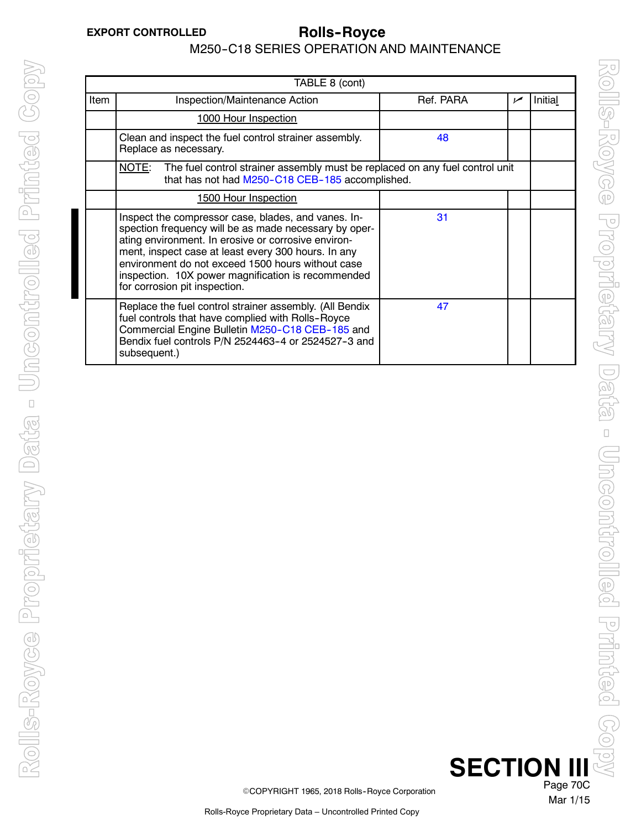#### M250-C18 SERIES OPERATION AND MAINTENANCE

|      | TABLE 8 (cont)                                                                                                                                                                                                                                                                                                                                                               |           |      |         |  |
|------|------------------------------------------------------------------------------------------------------------------------------------------------------------------------------------------------------------------------------------------------------------------------------------------------------------------------------------------------------------------------------|-----------|------|---------|--|
| ltem | Inspection/Maintenance Action                                                                                                                                                                                                                                                                                                                                                | Ref. PARA | ممرا | Initial |  |
|      | 1000 Hour Inspection                                                                                                                                                                                                                                                                                                                                                         |           |      |         |  |
|      | Clean and inspect the fuel control strainer assembly.<br>Replace as necessary.                                                                                                                                                                                                                                                                                               | 48        |      |         |  |
|      | NOTE: The fuel control strainer assembly must be replaced on any fuel control unit<br>that has not had M250-C18 CEB-185 accomplished.                                                                                                                                                                                                                                        |           |      |         |  |
|      | 1500 Hour Inspection                                                                                                                                                                                                                                                                                                                                                         |           |      |         |  |
|      | Inspect the compressor case, blades, and vanes. In-<br>31<br>spection frequency will be as made necessary by oper-<br>ating environment. In erosive or corrosive environ-<br>ment, inspect case at least every 300 hours. In any<br>environment do not exceed 1500 hours without case<br>inspection. 10X power magnification is recommended<br>for corrosion pit inspection. |           |      |         |  |
|      | Replace the fuel control strainer assembly. (All Bendix<br>fuel controls that have complied with Rolls-Royce<br>Commercial Engine Bulletin M250-C18 CEB-185 and<br>Bendix fuel controls P/N 2524463-4 or 2524527-3 and<br>subsequent.)                                                                                                                                       | 47        |      |         |  |